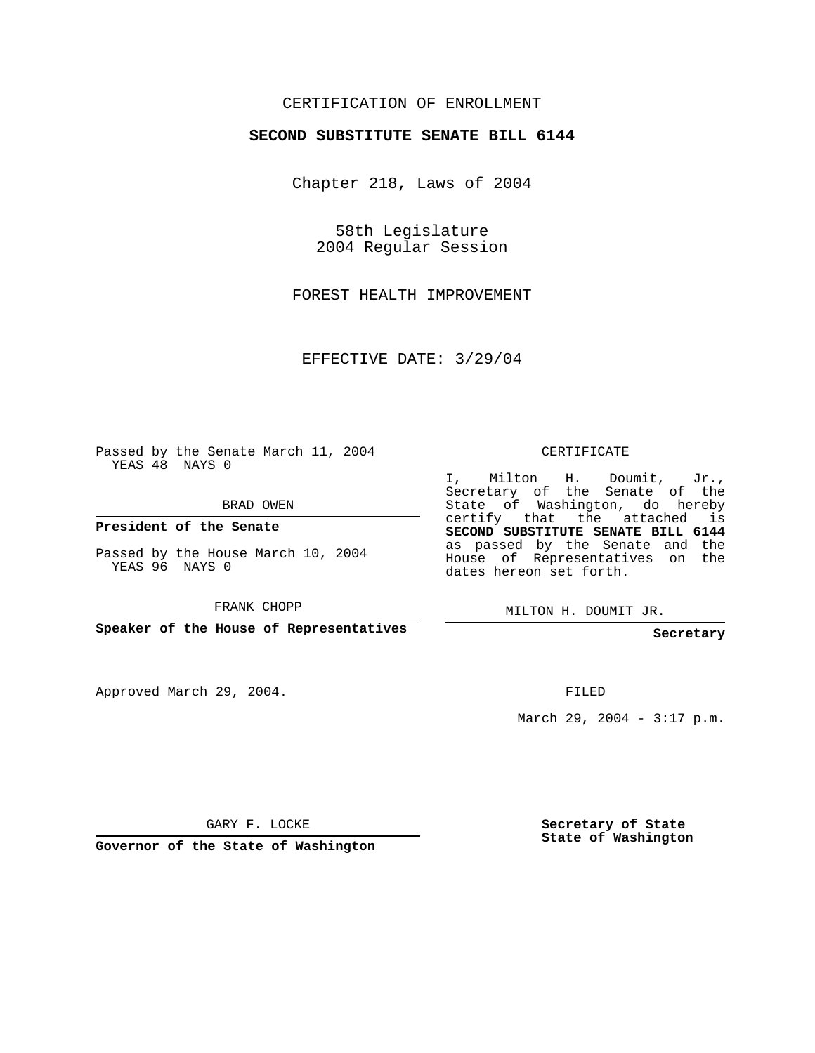## CERTIFICATION OF ENROLLMENT

## **SECOND SUBSTITUTE SENATE BILL 6144**

Chapter 218, Laws of 2004

58th Legislature 2004 Regular Session

FOREST HEALTH IMPROVEMENT

EFFECTIVE DATE: 3/29/04

Passed by the Senate March 11, 2004 YEAS 48 NAYS 0

BRAD OWEN

**President of the Senate**

Passed by the House March 10, 2004 YEAS 96 NAYS 0

FRANK CHOPP

**Speaker of the House of Representatives**

Approved March 29, 2004.

CERTIFICATE

I, Milton H. Doumit, Jr., Secretary of the Senate of the State of Washington, do hereby certify that the attached is **SECOND SUBSTITUTE SENATE BILL 6144** as passed by the Senate and the House of Representatives on the dates hereon set forth.

MILTON H. DOUMIT JR.

**Secretary**

FILED

March 29, 2004 - 3:17 p.m.

GARY F. LOCKE

**Governor of the State of Washington**

**Secretary of State State of Washington**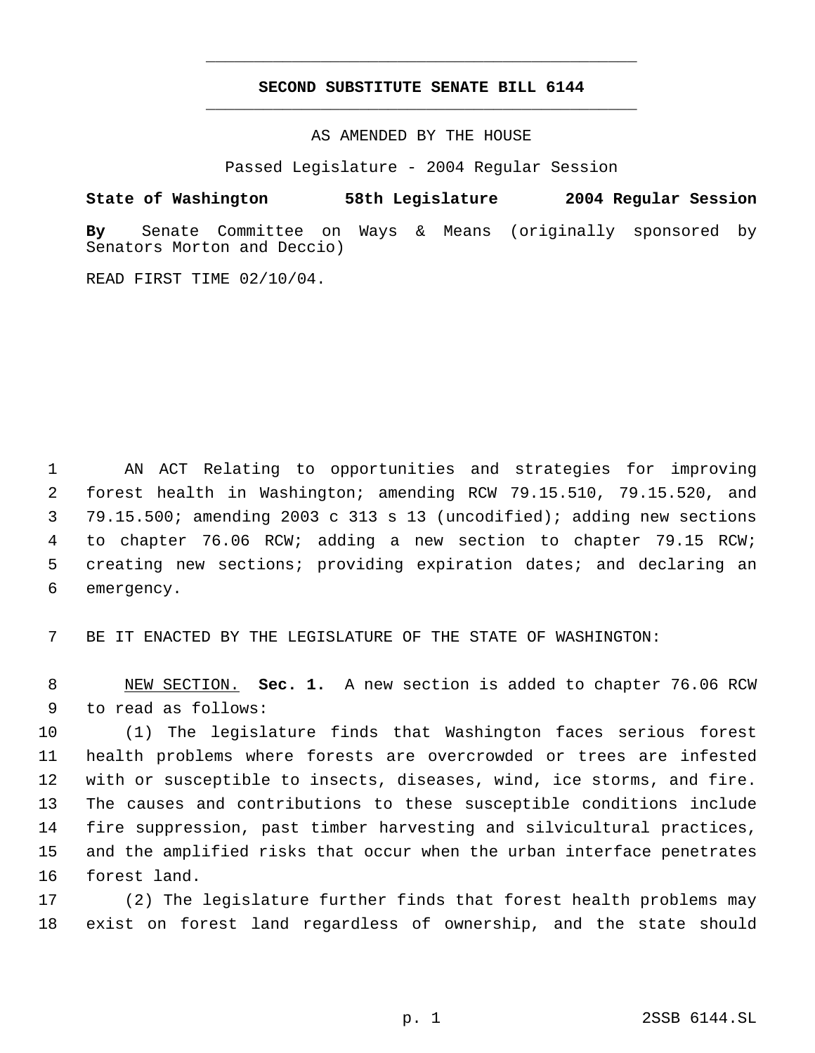## **SECOND SUBSTITUTE SENATE BILL 6144** \_\_\_\_\_\_\_\_\_\_\_\_\_\_\_\_\_\_\_\_\_\_\_\_\_\_\_\_\_\_\_\_\_\_\_\_\_\_\_\_\_\_\_\_\_

\_\_\_\_\_\_\_\_\_\_\_\_\_\_\_\_\_\_\_\_\_\_\_\_\_\_\_\_\_\_\_\_\_\_\_\_\_\_\_\_\_\_\_\_\_

AS AMENDED BY THE HOUSE

Passed Legislature - 2004 Regular Session

## **State of Washington 58th Legislature 2004 Regular Session**

**By** Senate Committee on Ways & Means (originally sponsored by Senators Morton and Deccio)

READ FIRST TIME 02/10/04.

 AN ACT Relating to opportunities and strategies for improving forest health in Washington; amending RCW 79.15.510, 79.15.520, and 79.15.500; amending 2003 c 313 s 13 (uncodified); adding new sections to chapter 76.06 RCW; adding a new section to chapter 79.15 RCW; creating new sections; providing expiration dates; and declaring an emergency.

BE IT ENACTED BY THE LEGISLATURE OF THE STATE OF WASHINGTON:

 NEW SECTION. **Sec. 1.** A new section is added to chapter 76.06 RCW to read as follows:

 (1) The legislature finds that Washington faces serious forest health problems where forests are overcrowded or trees are infested with or susceptible to insects, diseases, wind, ice storms, and fire. The causes and contributions to these susceptible conditions include fire suppression, past timber harvesting and silvicultural practices, and the amplified risks that occur when the urban interface penetrates forest land.

 (2) The legislature further finds that forest health problems may exist on forest land regardless of ownership, and the state should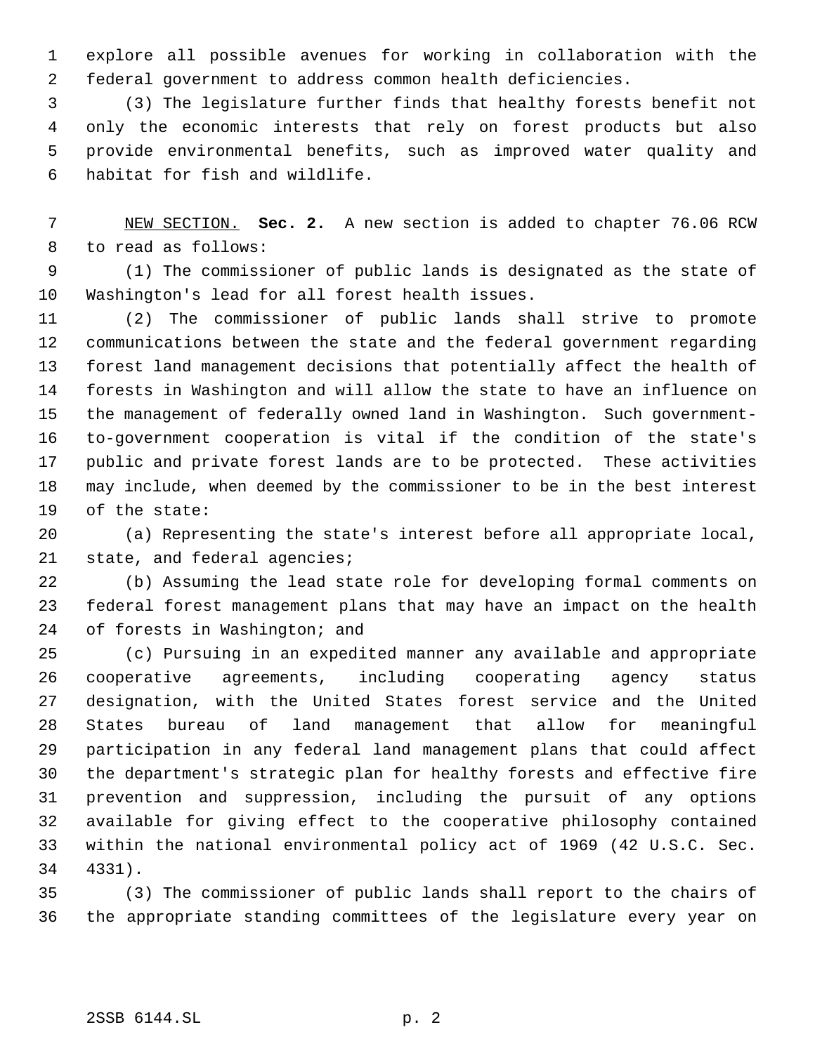explore all possible avenues for working in collaboration with the federal government to address common health deficiencies.

 (3) The legislature further finds that healthy forests benefit not only the economic interests that rely on forest products but also provide environmental benefits, such as improved water quality and habitat for fish and wildlife.

 NEW SECTION. **Sec. 2.** A new section is added to chapter 76.06 RCW to read as follows:

 (1) The commissioner of public lands is designated as the state of Washington's lead for all forest health issues.

 (2) The commissioner of public lands shall strive to promote communications between the state and the federal government regarding forest land management decisions that potentially affect the health of forests in Washington and will allow the state to have an influence on the management of federally owned land in Washington. Such government- to-government cooperation is vital if the condition of the state's public and private forest lands are to be protected. These activities may include, when deemed by the commissioner to be in the best interest of the state:

 (a) Representing the state's interest before all appropriate local, 21 state, and federal agencies;

 (b) Assuming the lead state role for developing formal comments on federal forest management plans that may have an impact on the health of forests in Washington; and

 (c) Pursuing in an expedited manner any available and appropriate cooperative agreements, including cooperating agency status designation, with the United States forest service and the United States bureau of land management that allow for meaningful participation in any federal land management plans that could affect the department's strategic plan for healthy forests and effective fire prevention and suppression, including the pursuit of any options available for giving effect to the cooperative philosophy contained within the national environmental policy act of 1969 (42 U.S.C. Sec. 4331).

 (3) The commissioner of public lands shall report to the chairs of the appropriate standing committees of the legislature every year on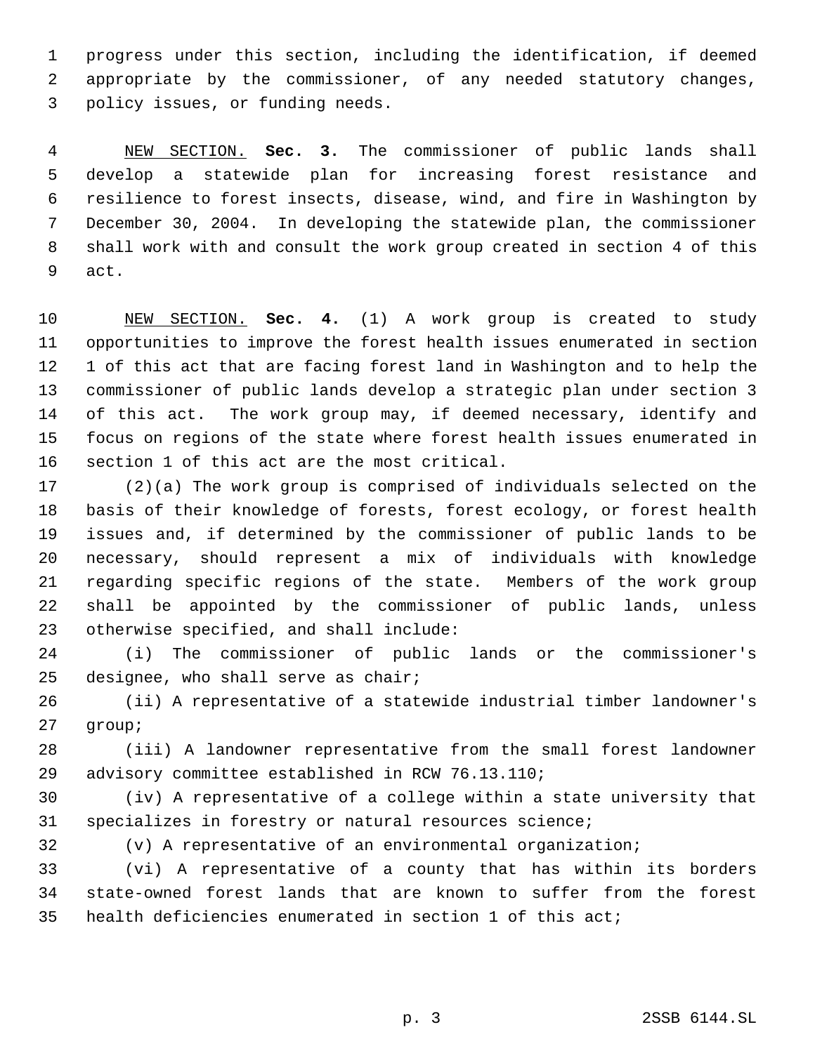progress under this section, including the identification, if deemed appropriate by the commissioner, of any needed statutory changes, policy issues, or funding needs.

 NEW SECTION. **Sec. 3.** The commissioner of public lands shall develop a statewide plan for increasing forest resistance and resilience to forest insects, disease, wind, and fire in Washington by December 30, 2004. In developing the statewide plan, the commissioner shall work with and consult the work group created in section 4 of this act.

 NEW SECTION. **Sec. 4.** (1) A work group is created to study opportunities to improve the forest health issues enumerated in section 1 of this act that are facing forest land in Washington and to help the commissioner of public lands develop a strategic plan under section 3 of this act. The work group may, if deemed necessary, identify and focus on regions of the state where forest health issues enumerated in section 1 of this act are the most critical.

 (2)(a) The work group is comprised of individuals selected on the basis of their knowledge of forests, forest ecology, or forest health issues and, if determined by the commissioner of public lands to be necessary, should represent a mix of individuals with knowledge regarding specific regions of the state. Members of the work group shall be appointed by the commissioner of public lands, unless otherwise specified, and shall include:

 (i) The commissioner of public lands or the commissioner's designee, who shall serve as chair;

 (ii) A representative of a statewide industrial timber landowner's group;

 (iii) A landowner representative from the small forest landowner advisory committee established in RCW 76.13.110;

 (iv) A representative of a college within a state university that specializes in forestry or natural resources science;

(v) A representative of an environmental organization;

 (vi) A representative of a county that has within its borders state-owned forest lands that are known to suffer from the forest health deficiencies enumerated in section 1 of this act;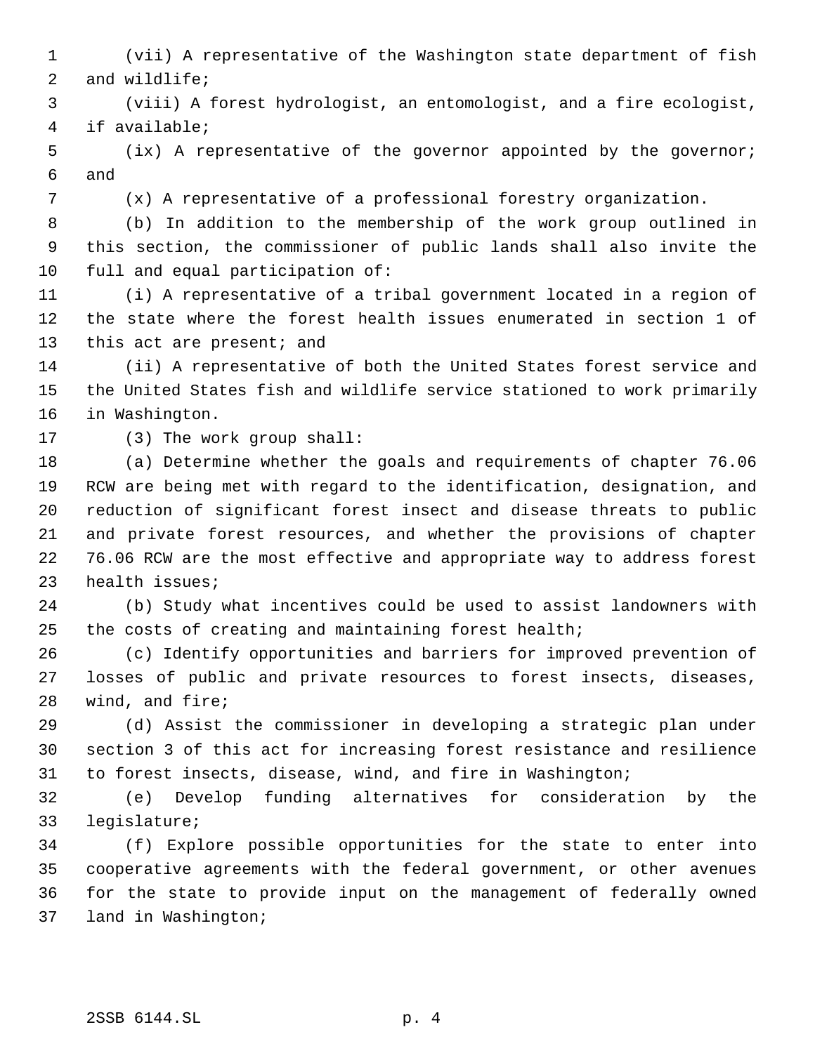- (vii) A representative of the Washington state department of fish and wildlife;
- (viii) A forest hydrologist, an entomologist, and a fire ecologist, if available;
- (ix) A representative of the governor appointed by the governor; and
- 
- (x) A representative of a professional forestry organization.

 (b) In addition to the membership of the work group outlined in this section, the commissioner of public lands shall also invite the full and equal participation of:

 (i) A representative of a tribal government located in a region of the state where the forest health issues enumerated in section 1 of 13 this act are present; and

 (ii) A representative of both the United States forest service and the United States fish and wildlife service stationed to work primarily in Washington.

(3) The work group shall:

 (a) Determine whether the goals and requirements of chapter 76.06 RCW are being met with regard to the identification, designation, and reduction of significant forest insect and disease threats to public and private forest resources, and whether the provisions of chapter 76.06 RCW are the most effective and appropriate way to address forest health issues;

 (b) Study what incentives could be used to assist landowners with the costs of creating and maintaining forest health;

 (c) Identify opportunities and barriers for improved prevention of losses of public and private resources to forest insects, diseases, wind, and fire;

 (d) Assist the commissioner in developing a strategic plan under section 3 of this act for increasing forest resistance and resilience to forest insects, disease, wind, and fire in Washington;

 (e) Develop funding alternatives for consideration by the legislature;

 (f) Explore possible opportunities for the state to enter into cooperative agreements with the federal government, or other avenues for the state to provide input on the management of federally owned land in Washington;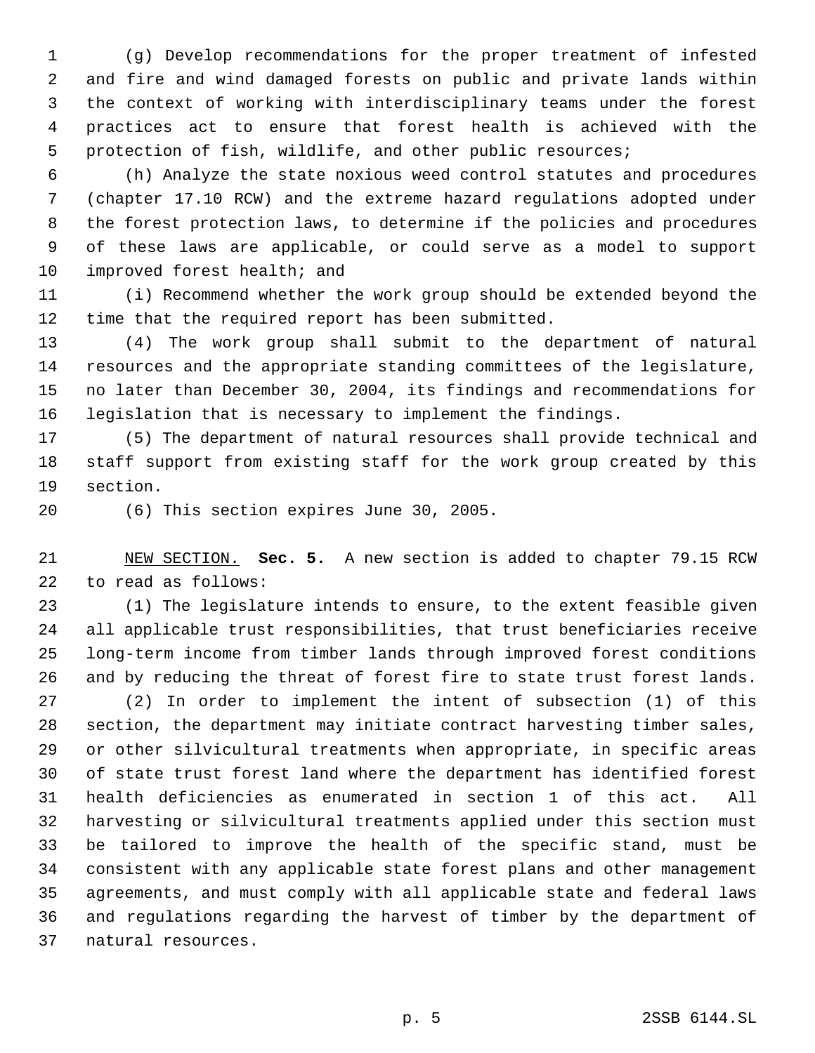(g) Develop recommendations for the proper treatment of infested and fire and wind damaged forests on public and private lands within the context of working with interdisciplinary teams under the forest practices act to ensure that forest health is achieved with the protection of fish, wildlife, and other public resources;

 (h) Analyze the state noxious weed control statutes and procedures (chapter 17.10 RCW) and the extreme hazard regulations adopted under the forest protection laws, to determine if the policies and procedures of these laws are applicable, or could serve as a model to support improved forest health; and

 (i) Recommend whether the work group should be extended beyond the time that the required report has been submitted.

 (4) The work group shall submit to the department of natural resources and the appropriate standing committees of the legislature, no later than December 30, 2004, its findings and recommendations for legislation that is necessary to implement the findings.

 (5) The department of natural resources shall provide technical and staff support from existing staff for the work group created by this section.

(6) This section expires June 30, 2005.

 NEW SECTION. **Sec. 5.** A new section is added to chapter 79.15 RCW to read as follows:

 (1) The legislature intends to ensure, to the extent feasible given all applicable trust responsibilities, that trust beneficiaries receive long-term income from timber lands through improved forest conditions and by reducing the threat of forest fire to state trust forest lands.

 (2) In order to implement the intent of subsection (1) of this section, the department may initiate contract harvesting timber sales, or other silvicultural treatments when appropriate, in specific areas of state trust forest land where the department has identified forest health deficiencies as enumerated in section 1 of this act. All harvesting or silvicultural treatments applied under this section must be tailored to improve the health of the specific stand, must be consistent with any applicable state forest plans and other management agreements, and must comply with all applicable state and federal laws and regulations regarding the harvest of timber by the department of natural resources.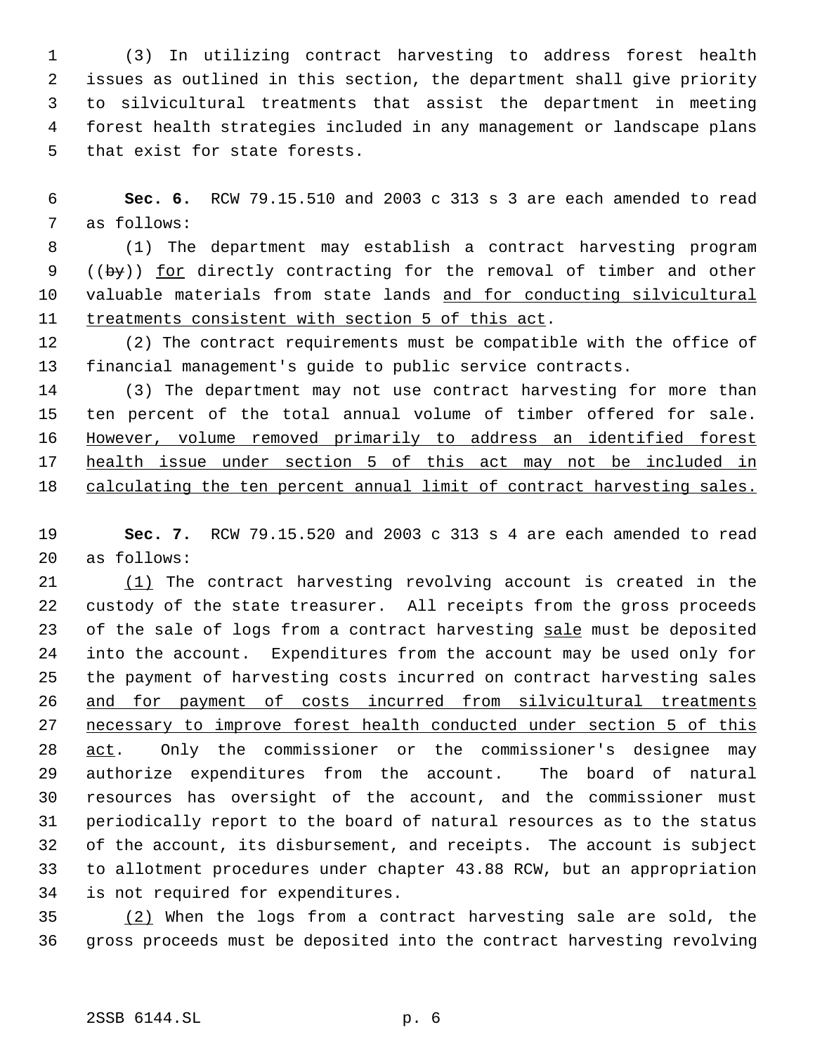(3) In utilizing contract harvesting to address forest health issues as outlined in this section, the department shall give priority to silvicultural treatments that assist the department in meeting forest health strategies included in any management or landscape plans that exist for state forests.

 **Sec. 6.** RCW 79.15.510 and 2003 c 313 s 3 are each amended to read as follows:

 (1) The department may establish a contract harvesting program 9 ((by)) <u>for</u> directly contracting for the removal of timber and other 10 valuable materials from state lands and for conducting silvicultural 11 treatments consistent with section 5 of this act.

 (2) The contract requirements must be compatible with the office of financial management's guide to public service contracts.

 (3) The department may not use contract harvesting for more than ten percent of the total annual volume of timber offered for sale. However, volume removed primarily to address an identified forest health issue under section 5 of this act may not be included in calculating the ten percent annual limit of contract harvesting sales.

 **Sec. 7.** RCW 79.15.520 and 2003 c 313 s 4 are each amended to read as follows:

21 (1) The contract harvesting revolving account is created in the custody of the state treasurer. All receipts from the gross proceeds 23 of the sale of logs from a contract harvesting sale must be deposited into the account. Expenditures from the account may be used only for the payment of harvesting costs incurred on contract harvesting sales and for payment of costs incurred from silvicultural treatments necessary to improve forest health conducted under section 5 of this 28 act. Only the commissioner or the commissioner's designee may authorize expenditures from the account. The board of natural resources has oversight of the account, and the commissioner must periodically report to the board of natural resources as to the status of the account, its disbursement, and receipts. The account is subject to allotment procedures under chapter 43.88 RCW, but an appropriation is not required for expenditures.

 (2) When the logs from a contract harvesting sale are sold, the gross proceeds must be deposited into the contract harvesting revolving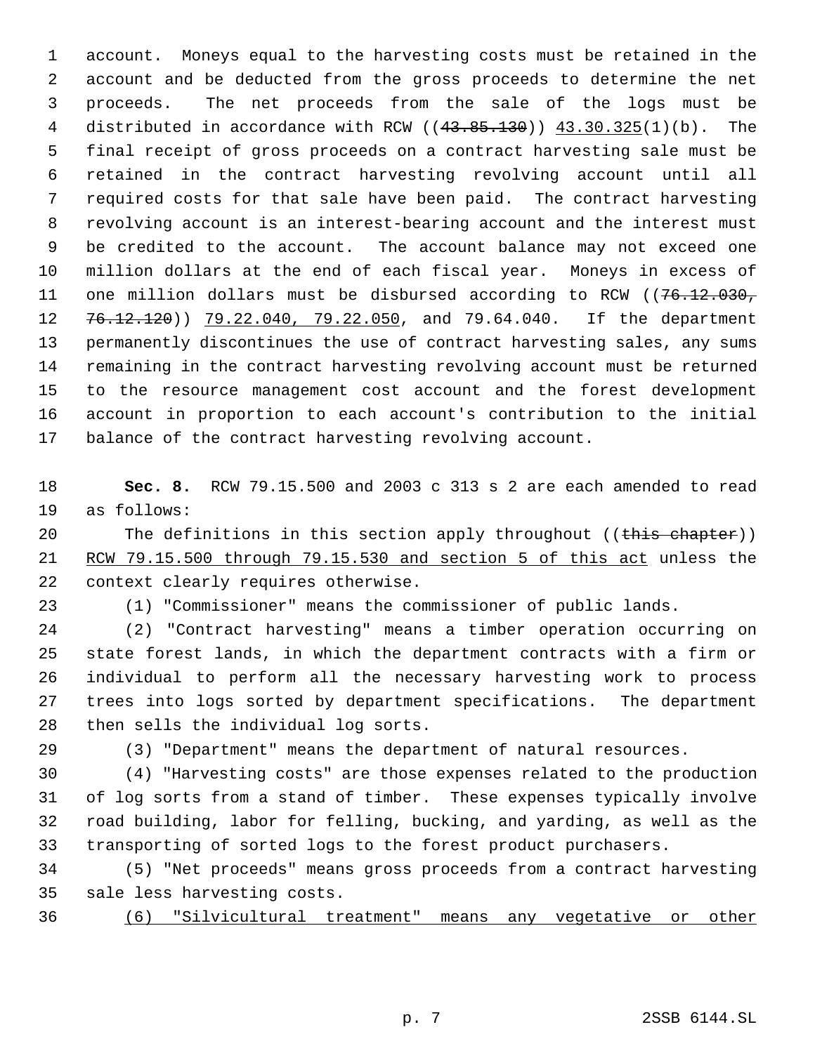account. Moneys equal to the harvesting costs must be retained in the account and be deducted from the gross proceeds to determine the net proceeds. The net proceeds from the sale of the logs must be distributed in accordance with RCW ((43.85.130)) 43.30.325(1)(b). The final receipt of gross proceeds on a contract harvesting sale must be retained in the contract harvesting revolving account until all required costs for that sale have been paid. The contract harvesting revolving account is an interest-bearing account and the interest must be credited to the account. The account balance may not exceed one million dollars at the end of each fiscal year. Moneys in excess of 11 one million dollars must be disbursed according to RCW ((76.12.030, 12 76.12.120)) 79.22.040, 79.22.050, and 79.64.040. If the department permanently discontinues the use of contract harvesting sales, any sums remaining in the contract harvesting revolving account must be returned to the resource management cost account and the forest development account in proportion to each account's contribution to the initial balance of the contract harvesting revolving account.

 **Sec. 8.** RCW 79.15.500 and 2003 c 313 s 2 are each amended to read as follows:

20 The definitions in this section apply throughout ((this chapter)) RCW 79.15.500 through 79.15.530 and section 5 of this act unless the context clearly requires otherwise.

(1) "Commissioner" means the commissioner of public lands.

 (2) "Contract harvesting" means a timber operation occurring on state forest lands, in which the department contracts with a firm or individual to perform all the necessary harvesting work to process trees into logs sorted by department specifications. The department then sells the individual log sorts.

(3) "Department" means the department of natural resources.

 (4) "Harvesting costs" are those expenses related to the production of log sorts from a stand of timber. These expenses typically involve road building, labor for felling, bucking, and yarding, as well as the transporting of sorted logs to the forest product purchasers.

 (5) "Net proceeds" means gross proceeds from a contract harvesting sale less harvesting costs.

(6) "Silvicultural treatment" means any vegetative or other